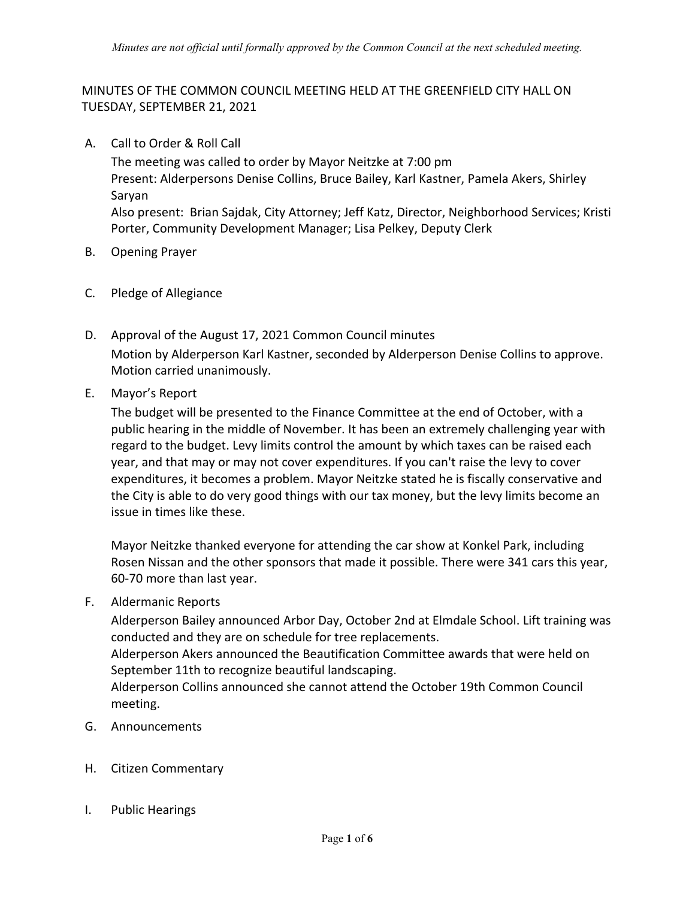## MINUTES OF THE COMMON COUNCIL MEETING HELD AT THE GREENFIELD CITY HALL ON TUESDAY, SEPTEMBER 21, 2021

A. Call to Order & Roll Call

The meeting was called to order by Mayor Neitzke at 7:00 pm Present: Alderpersons Denise Collins, Bruce Bailey, Karl Kastner, Pamela Akers, Shirley Saryan Also present: Brian Sajdak, City Attorney; Jeff Katz, Director, Neighborhood Services; Kristi Porter, Community Development Manager; Lisa Pelkey, Deputy Clerk

- **B.** Opening Prayer
- C. Pledge of Allegiance
- D. Approval of the August 17, 2021 Common Council minutes Motion by Alderperson Karl Kastner, seconded by Alderperson Denise Collins to approve. Motion carried unanimously.
- E. Mayor's Report

The budget will be presented to the Finance Committee at the end of October, with a public hearing in the middle of November. It has been an extremely challenging year with regard to the budget. Levy limits control the amount by which taxes can be raised each year, and that may or may not cover expenditures. If you can't raise the levy to cover expenditures, it becomes a problem. Mayor Neitzke stated he is fiscally conservative and the City is able to do very good things with our tax money, but the levy limits become an issue in times like these.

Mayor Neitzke thanked everyone for attending the car show at Konkel Park, including Rosen Nissan and the other sponsors that made it possible. There were 341 cars this year, 60-70 more than last year.

#### F. Aldermanic Reports

Alderperson Bailey announced Arbor Day, October 2nd at Elmdale School. Lift training was conducted and they are on schedule for tree replacements. Alderperson Akers announced the Beautification Committee awards that were held on September 11th to recognize beautiful landscaping. Alderperson Collins announced she cannot attend the October 19th Common Council meeting.

- G. Announcements
- H. Citizen Commentary
- I. Public Hearings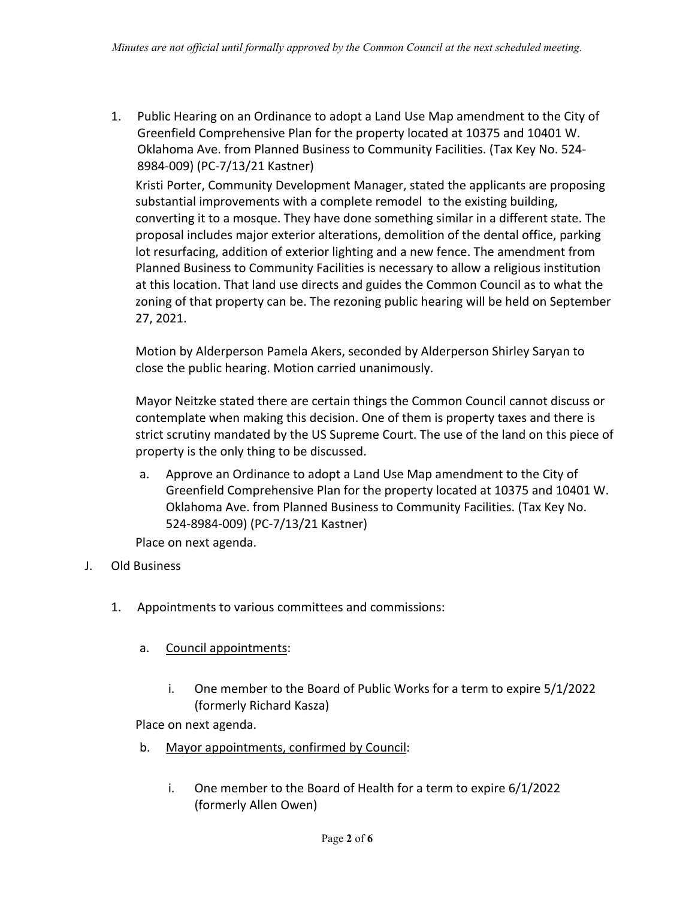Public Hearing on an Ordinance to adopt a Land Use Map amendment to the City of 1. Greenfield Comprehensive Plan for the property located at 10375 and 10401 W. Oklahoma Ave. from Planned Business to Community Facilities. (Tax Key No. 524-8984-009) (PC-7/13/21 Kastner)

Kristi Porter, Community Development Manager, stated the applicants are proposing substantial improvements with a complete remodel to the existing building, converting it to a mosque. They have done something similar in a different state. The proposal includes major exterior alterations, demolition of the dental office, parking lot resurfacing, addition of exterior lighting and a new fence. The amendment from Planned Business to Community Facilities is necessary to allow a religious institution at this location. That land use directs and guides the Common Council as to what the zoning of that property can be. The rezoning public hearing will be held on September 27, 2021.

Motion by Alderperson Pamela Akers, seconded by Alderperson Shirley Saryan to close the public hearing. Motion carried unanimously.

Mayor Neitzke stated there are certain things the Common Council cannot discuss or contemplate when making this decision. One of them is property taxes and there is strict scrutiny mandated by the US Supreme Court. The use of the land on this piece of property is the only thing to be discussed.

Approve an Ordinance to adopt a Land Use Map amendment to the City of  $a.$ Greenfield Comprehensive Plan for the property located at 10375 and 10401 W. Oklahoma Ave. from Planned Business to Community Facilities. (Tax Key No. 524-8984-009) (PC-7/13/21 Kastner)

Place on next agenda.

- Old Business J.
	- 1. Appointments to various committees and commissions:
		- Council appointments: a.
			- $\mathbf{i}$ . One member to the Board of Public Works for a term to expire 5/1/2022 (formerly Richard Kasza)

Place on next agenda.

- $h_{\cdot}$ Mayor appointments, confirmed by Council:
	- i. One member to the Board of Health for a term to expire 6/1/2022 (formerly Allen Owen)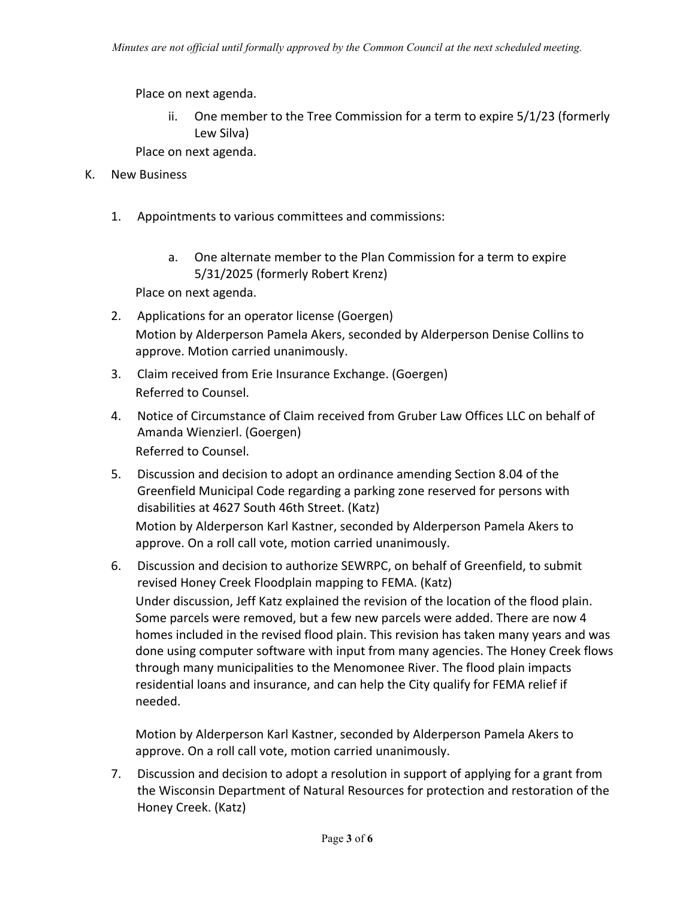Place on next agenda.

One member to the Tree Commission for a term to expire 5/1/23 (formerly ii. Lew Silva)

Place on next agenda.

- K. New Business
	- $1<sup>1</sup>$ Appointments to various committees and commissions:
		- a. One alternate member to the Plan Commission for a term to expire 5/31/2025 (formerly Robert Krenz)

Place on next agenda.

- 2. Applications for an operator license (Goergen) Motion by Alderperson Pamela Akers, seconded by Alderperson Denise Collins to approve. Motion carried unanimously.
- 3. Claim received from Erie Insurance Exchange. (Goergen) Referred to Counsel.
- 4. Notice of Circumstance of Claim received from Gruber Law Offices LLC on behalf of Amanda Wienzierl. (Goergen) Referred to Counsel.
- 5. Discussion and decision to adopt an ordinance amending Section 8.04 of the Greenfield Municipal Code regarding a parking zone reserved for persons with disabilities at 4627 South 46th Street. (Katz) Motion by Alderperson Karl Kastner, seconded by Alderperson Pamela Akers to

approve. On a roll call vote, motion carried unanimously.

6. Discussion and decision to authorize SEWRPC, on behalf of Greenfield, to submit revised Honey Creek Floodplain mapping to FEMA. (Katz)

Under discussion, Jeff Katz explained the revision of the location of the flood plain. Some parcels were removed, but a few new parcels were added. There are now 4 homes included in the revised flood plain. This revision has taken many years and was done using computer software with input from many agencies. The Honey Creek flows through many municipalities to the Menomonee River. The flood plain impacts residential loans and insurance, and can help the City qualify for FEMA relief if needed.

Motion by Alderperson Karl Kastner, seconded by Alderperson Pamela Akers to approve. On a roll call vote, motion carried unanimously.

7. Discussion and decision to adopt a resolution in support of applying for a grant from the Wisconsin Department of Natural Resources for protection and restoration of the Honey Creek. (Katz)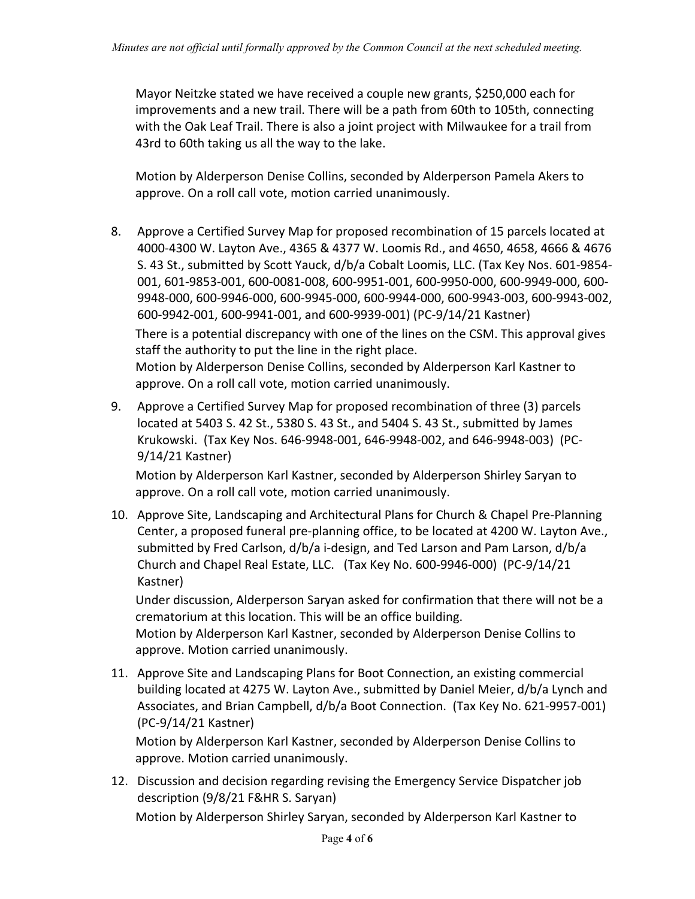Mayor Neitzke stated we have received a couple new grants, \$250,000 each for improvements and a new trail. There will be a path from 60th to 105th, connecting with the Oak Leaf Trail. There is also a joint project with Milwaukee for a trail from 43rd to 60th taking us all the way to the lake.

Motion by Alderperson Denise Collins, seconded by Alderperson Pamela Akers to approve. On a roll call vote, motion carried unanimously.

- 8. Approve a Certified Survey Map for proposed recombination of 15 parcels located at 4000-4300 W. Layton Ave., 4365 & 4377 W. Loomis Rd., and 4650, 4658, 4666 & 4676 S. 43 St., submitted by Scott Yauck, d/b/a Cobalt Loomis, LLC. (Tax Key Nos. 601-9854-001, 601-9853-001, 600-0081-008, 600-9951-001, 600-9950-000, 600-9949-000, 600-9948-000, 600-9946-000, 600-9945-000, 600-9944-000, 600-9943-003, 600-9943-002, 600-9942-001, 600-9941-001, and 600-9939-001) (PC-9/14/21 Kastner) There is a potential discrepancy with one of the lines on the CSM. This approval gives staff the authority to put the line in the right place. Motion by Alderperson Denise Collins, seconded by Alderperson Karl Kastner to approve. On a roll call vote, motion carried unanimously.
- 9. Approve a Certified Survey Map for proposed recombination of three (3) parcels located at 5403 S. 42 St., 5380 S. 43 St., and 5404 S. 43 St., submitted by James Krukowski. (Tax Key Nos. 646-9948-001, 646-9948-002, and 646-9948-003) (PC- $9/14/21$  Kastner)

Motion by Alderperson Karl Kastner, seconded by Alderperson Shirley Saryan to approve. On a roll call vote, motion carried unanimously.

10. Approve Site, Landscaping and Architectural Plans for Church & Chapel Pre-Planning Center, a proposed funeral pre-planning office, to be located at 4200 W. Layton Ave., submitted by Fred Carlson, d/b/a i-design, and Ted Larson and Pam Larson, d/b/a Church and Chapel Real Estate, LLC. (Tax Key No. 600-9946-000) (PC-9/14/21 Kastner)

Under discussion, Alderperson Saryan asked for confirmation that there will not be a crematorium at this location. This will be an office building. Motion by Alderperson Karl Kastner, seconded by Alderperson Denise Collins to

approve. Motion carried unanimously.

11. Approve Site and Landscaping Plans for Boot Connection, an existing commercial building located at 4275 W. Layton Ave., submitted by Daniel Meier, d/b/a Lynch and Associates, and Brian Campbell, d/b/a Boot Connection. (Tax Key No. 621-9957-001) (PC-9/14/21 Kastner)

Motion by Alderperson Karl Kastner, seconded by Alderperson Denise Collins to approve. Motion carried unanimously.

12. Discussion and decision regarding revising the Emergency Service Dispatcher job description (9/8/21 F&HR S. Saryan)

Motion by Alderperson Shirley Saryan, seconded by Alderperson Karl Kastner to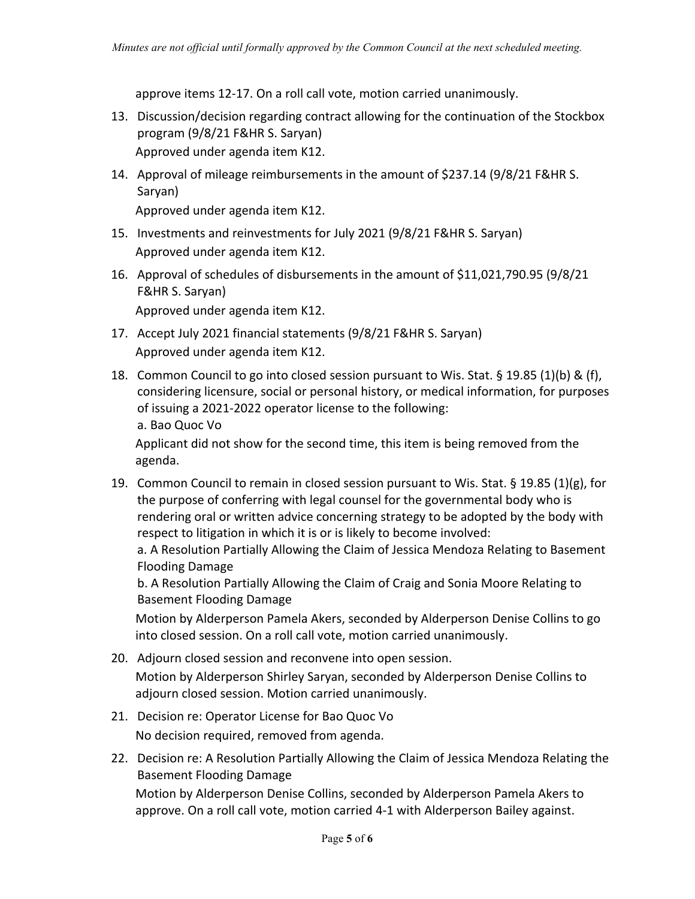approve items 12-17. On a roll call vote, motion carried unanimously.

- 13. Discussion/decision regarding contract allowing for the continuation of the Stockbox program (9/8/21 F&HR S. Saryan) Approved under agenda item K12.
- 14. Approval of mileage reimbursements in the amount of \$237.14 (9/8/21 F&HR S. Saryan)

Approved under agenda item K12.

- 15. Investments and reinvestments for July 2021 (9/8/21 F&HR S. Saryan) Approved under agenda item K12.
- 16. Approval of schedules of disbursements in the amount of \$11,021,790.95 (9/8/21 F&HR S. Saryan) Approved under agenda item K12.
- 17. Accept July 2021 financial statements (9/8/21 F&HR S. Saryan) Approved under agenda item K12.
- 18. Common Council to go into closed session pursuant to Wis. Stat. § 19.85 (1)(b) & (f), considering licensure, social or personal history, or medical information, for purposes of issuing a 2021-2022 operator license to the following: a. Bao Quoc Vo

Applicant did not show for the second time, this item is being removed from the agenda.

19. Common Council to remain in closed session pursuant to Wis. Stat. § 19.85 (1)(g), for the purpose of conferring with legal counsel for the governmental body who is rendering oral or written advice concerning strategy to be adopted by the body with respect to litigation in which it is or is likely to become involved:

a. A Resolution Partially Allowing the Claim of Jessica Mendoza Relating to Basement **Flooding Damage** 

b. A Resolution Partially Allowing the Claim of Craig and Sonia Moore Relating to **Basement Flooding Damage** 

Motion by Alderperson Pamela Akers, seconded by Alderperson Denise Collins to go into closed session. On a roll call vote, motion carried unanimously.

- 20. Adjourn closed session and reconvene into open session. Motion by Alderperson Shirley Saryan, seconded by Alderperson Denise Collins to adjourn closed session. Motion carried unanimously.
- 21. Decision re: Operator License for Bao Quoc Vo No decision required, removed from agenda.
- 22. Decision re: A Resolution Partially Allowing the Claim of Jessica Mendoza Relating the **Basement Flooding Damage**

Motion by Alderperson Denise Collins, seconded by Alderperson Pamela Akers to approve. On a roll call vote, motion carried 4-1 with Alderperson Bailey against.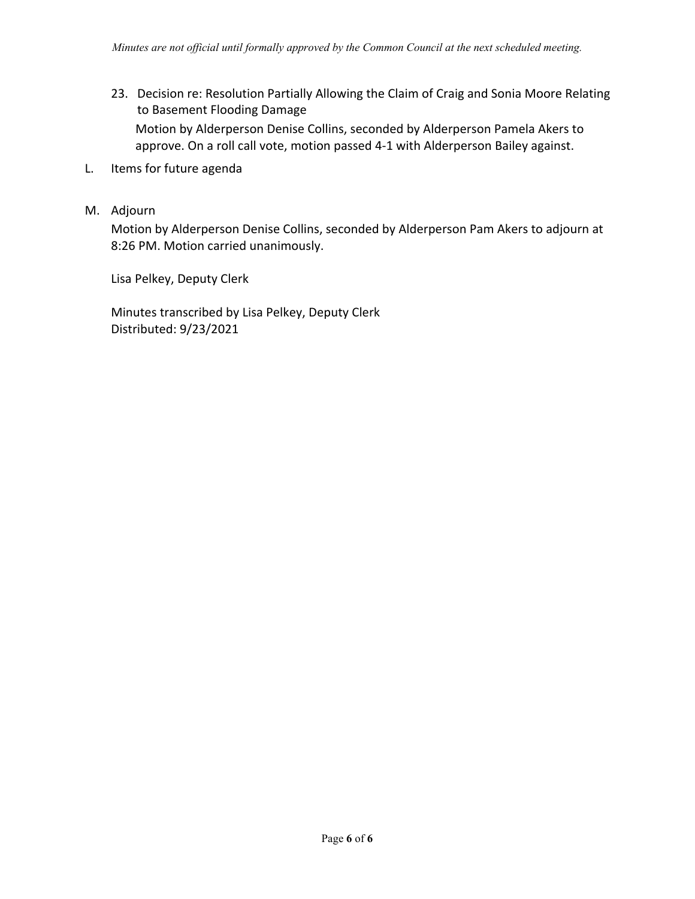- 23. Decision re: Resolution Partially Allowing the Claim of Craig and Sonia Moore Relating to Basement Flooding Damage Motion by Alderperson Denise Collins, seconded by Alderperson Pamela Akers to approve. On a roll call vote, motion passed 4-1 with Alderperson Bailey against.
- L. Items for future agenda
- M. Adjourn

Motion by Alderperson Denise Collins, seconded by Alderperson Pam Akers to adjourn at 8:26 PM. Motion carried unanimously.

Lisa Pelkey, Deputy Clerk

Minutes transcribed by Lisa Pelkey, Deputy Clerk Distributed: 9/23/2021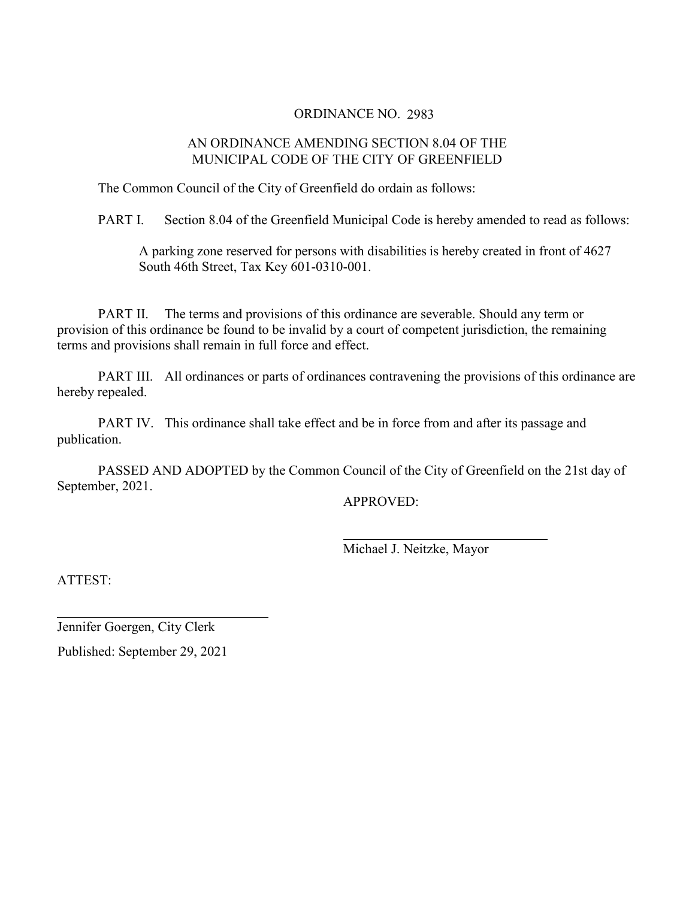#### **ORDINANCE NO. 2983**

#### AN ORDINANCE AMENDING SECTION 8.04 OF THE MUNICIPAL CODE OF THE CITY OF GREENFIELD

The Common Council of the City of Greenfield do ordain as follows:

PART I. Section 8.04 of the Greenfield Municipal Code is hereby amended to read as follows:

A parking zone reserved for persons with disabilities is hereby created in front of 4627 South 46th Street, Tax Key 601-0310-001.

The terms and provisions of this ordinance are severable. Should any term or PART II. provision of this ordinance be found to be invalid by a court of competent jurisdiction, the remaining terms and provisions shall remain in full force and effect.

PART III. All ordinances or parts of ordinances contravening the provisions of this ordinance are hereby repealed.

PART IV. This ordinance shall take effect and be in force from and after its passage and publication.

PASSED AND ADOPTED by the Common Council of the City of Greenfield on the 21st day of September, 2021.

**APPROVED:** 

Michael J. Neitzke, Mayor

ATTEST:

Jennifer Goergen, City Clerk

Published: September 29, 2021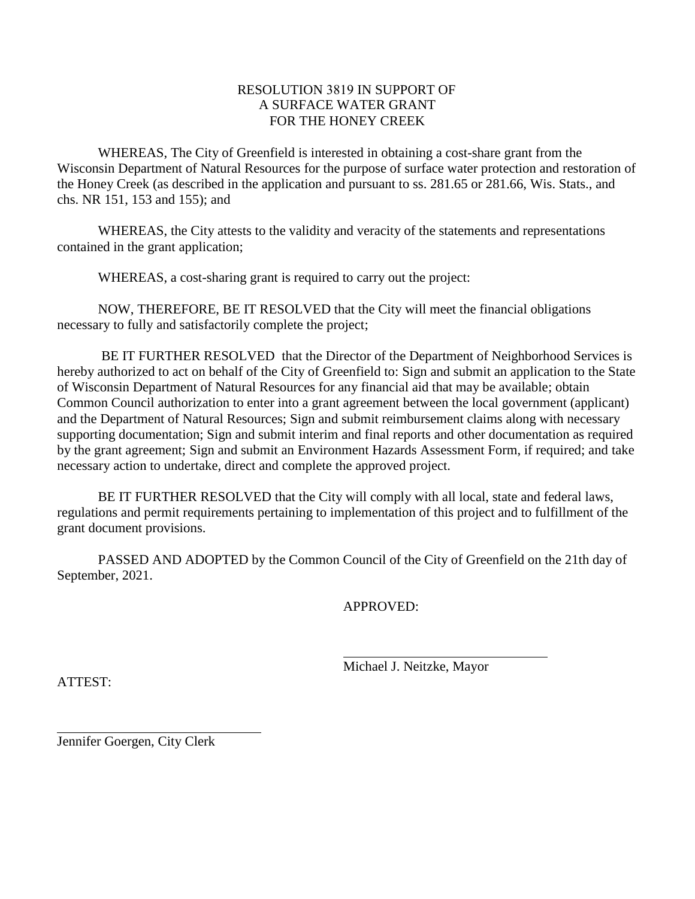#### **RESOLUTION 3819 IN SUPPORT OF** A SURFACE WATER GRANT FOR THE HONEY CREEK

WHEREAS, The City of Greenfield is interested in obtaining a cost-share grant from the Wisconsin Department of Natural Resources for the purpose of surface water protection and restoration of the Honey Creek (as described in the application and pursuant to ss. 281.65 or 281.66, Wis. Stats., and chs. NR 151, 153 and 155); and

WHEREAS, the City attests to the validity and veracity of the statements and representations contained in the grant application;

WHEREAS, a cost-sharing grant is required to carry out the project:

NOW, THEREFORE, BE IT RESOLVED that the City will meet the financial obligations necessary to fully and satisfactorily complete the project;

BE IT FURTHER RESOLVED that the Director of the Department of Neighborhood Services is hereby authorized to act on behalf of the City of Greenfield to: Sign and submit an application to the State of Wisconsin Department of Natural Resources for any financial aid that may be available; obtain Common Council authorization to enter into a grant agreement between the local government (applicant) and the Department of Natural Resources; Sign and submit reimbursement claims along with necessary supporting documentation; Sign and submit interim and final reports and other documentation as required by the grant agreement; Sign and submit an Environment Hazards Assessment Form, if required; and take necessary action to undertake, direct and complete the approved project.

BE IT FURTHER RESOLVED that the City will comply with all local, state and federal laws, regulations and permit requirements pertaining to implementation of this project and to fulfillment of the grant document provisions.

PASSED AND ADOPTED by the Common Council of the City of Greenfield on the 21th day of September, 2021.

**APPROVED:** 

Michael J. Neitzke, Mayor

ATTEST:

Jennifer Goergen, City Clerk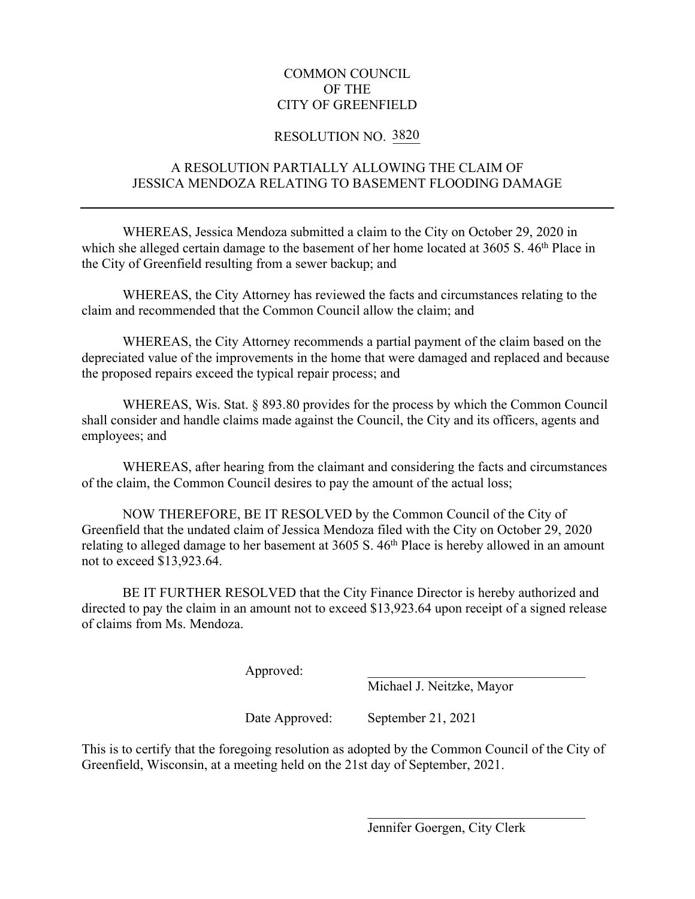## **COMMON COUNCIL** OF THE **CITY OF GREENFIELD**

## **RESOLUTION NO. 3820**

# A RESOLUTION PARTIALLY ALLOWING THE CLAIM OF **JESSICA MENDOZA RELATING TO BASEMENT FLOODING DAMAGE**

WHEREAS, Jessica Mendoza submitted a claim to the City on October 29, 2020 in which she alleged certain damage to the basement of her home located at 3605 S. 46<sup>th</sup> Place in the City of Greenfield resulting from a sewer backup; and

WHEREAS, the City Attorney has reviewed the facts and circumstances relating to the claim and recommended that the Common Council allow the claim; and

WHEREAS, the City Attorney recommends a partial payment of the claim based on the depreciated value of the improvements in the home that were damaged and replaced and because the proposed repairs exceed the typical repair process; and

WHEREAS, Wis. Stat. § 893.80 provides for the process by which the Common Council shall consider and handle claims made against the Council, the City and its officers, agents and employees; and

WHEREAS, after hearing from the claimant and considering the facts and circumstances of the claim, the Common Council desires to pay the amount of the actual loss;

NOW THEREFORE, BE IT RESOLVED by the Common Council of the City of Greenfield that the undated claim of Jessica Mendoza filed with the City on October 29, 2020 relating to alleged damage to her basement at 3605 S. 46<sup>th</sup> Place is hereby allowed in an amount not to exceed \$13,923.64.

BE IT FURTHER RESOLVED that the City Finance Director is hereby authorized and directed to pay the claim in an amount not to exceed \$13,923.64 upon receipt of a signed release of claims from Ms. Mendoza.

Approved:

Michael J. Neitzke, Mayor

Date Approved: September 21, 2021

This is to certify that the foregoing resolution as adopted by the Common Council of the City of Greenfield, Wisconsin, at a meeting held on the 21st day of September, 2021.

Jennifer Goergen, City Clerk